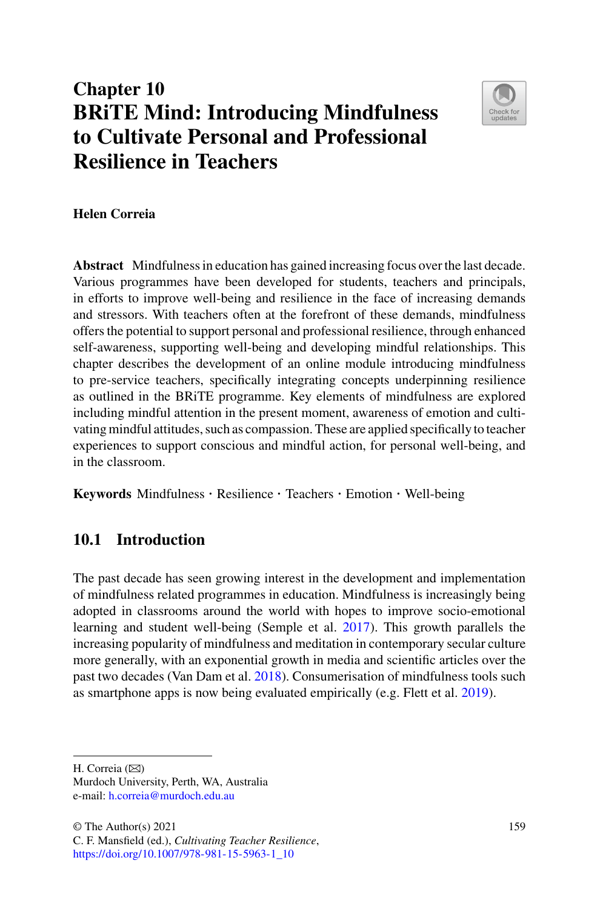# **Chapter 10 BRiTE Mind: Introducing Mindfulness to Cultivate Personal and Professional Resilience in Teachers**



#### **Helen Correia**

**Abstract** Mindfulness in education has gained increasing focus over the last decade. Various programmes have been developed for students, teachers and principals, in efforts to improve well-being and resilience in the face of increasing demands and stressors. With teachers often at the forefront of these demands, mindfulness offers the potential to support personal and professional resilience, through enhanced self-awareness, supporting well-being and developing mindful relationships. This chapter describes the development of an online module introducing mindfulness to pre-service teachers, specifically integrating concepts underpinning resilience as outlined in the BRiTE programme. Key elements of mindfulness are explored including mindful attention in the present moment, awareness of emotion and cultivating mindful attitudes, such as compassion. These are applied specifically to teacher experiences to support conscious and mindful action, for personal well-being, and in the classroom.

**Keywords** Mindfulness · Resilience · Teachers · Emotion · Well-being

## **10.1 Introduction**

The past decade has seen growing interest in the development and implementation of mindfulness related programmes in education. Mindfulness is increasingly being adopted in classrooms around the world with hopes to improve socio-emotional learning and student well-being (Semple et al. [2017\)](#page-15-0). This growth parallels the increasing popularity of mindfulness and meditation in contemporary secular culture more generally, with an exponential growth in media and scientific articles over the past two decades (Van Dam et al. [2018\)](#page-15-1). Consumerisation of mindfulness tools such as smartphone apps is now being evaluated empirically (e.g. Flett et al. [2019\)](#page-13-0).

H. Correia  $(\boxtimes)$ 

Murdoch University, Perth, WA, Australia e-mail: [h.correia@murdoch.edu.au](mailto:h.correia@murdoch.edu.au)

© The Author(s) 2021 C. F. Mansfield (ed.), *Cultivating Teacher Resilience*, [https://doi.org/10.1007/978-981-15-5963-1\\_10](https://doi.org/10.1007/978-981-15-5963-1_10)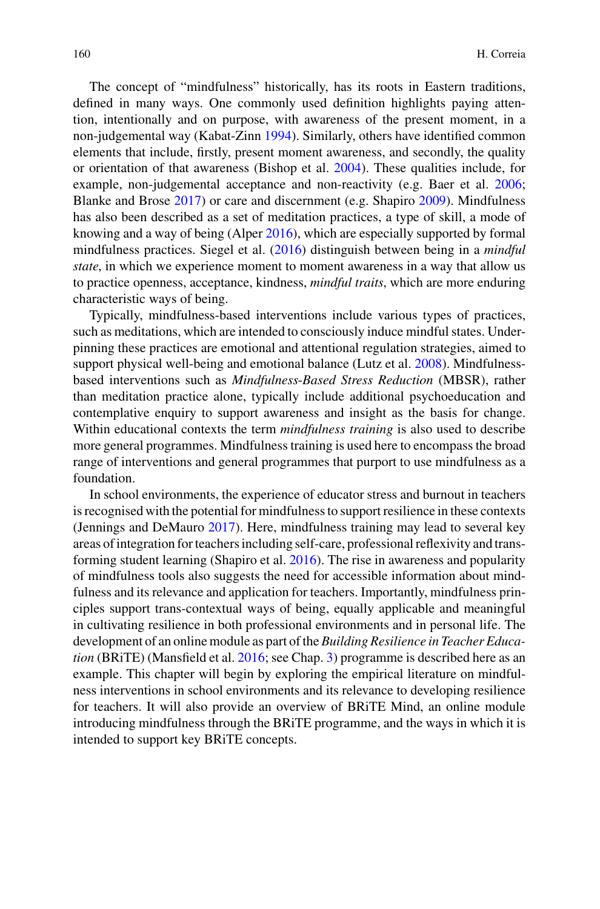The concept of "mindfulness" historically, has its roots in Eastern traditions, defined in many ways. One commonly used definition highlights paying attention, intentionally and on purpose, with awareness of the present moment, in a non-judgemental way (Kabat-Zinn [1994\)](#page-14-0). Similarly, others have identified common elements that include, firstly, present moment awareness, and secondly, the quality or orientation of that awareness (Bishop et al. [2004\)](#page-12-0). These qualities include, for example, non-judgemental acceptance and non-reactivity (e.g. Baer et al. [2006;](#page-12-1) Blanke and Brose [2017\)](#page-12-2) or care and discernment (e.g. Shapiro [2009\)](#page-15-2). Mindfulness has also been described as a set of meditation practices, a type of skill, a mode of knowing and a way of being (Alper [2016\)](#page-12-3), which are especially supported by formal mindfulness practices. Siegel et al. [\(2016\)](#page-14-1) distinguish between being in a *mindful state*, in which we experience moment to moment awareness in a way that allow us to practice openness, acceptance, kindness, *mindful traits*, which are more enduring characteristic ways of being.

Typically, mindfulness-based interventions include various types of practices, such as meditations, which are intended to consciously induce mindful states. Underpinning these practices are emotional and attentional regulation strategies, aimed to support physical well-being and emotional balance (Lutz et al. [2008\)](#page-14-2). Mindfulnessbased interventions such as *Mindfulness*-*Based Stress Reduction* (MBSR), rather than meditation practice alone, typically include additional psychoeducation and contemplative enquiry to support awareness and insight as the basis for change. Within educational contexts the term *mindfulness training* is also used to describe more general programmes. Mindfulness training is used here to encompass the broad range of interventions and general programmes that purport to use mindfulness as a foundation.

In school environments, the experience of educator stress and burnout in teachers is recognised with the potential for mindfulness to support resilience in these contexts (Jennings and DeMauro [2017\)](#page-13-1). Here, mindfulness training may lead to several key areas of integration for teachers including self-care, professional reflexivity and transforming student learning (Shapiro et al. [2016\)](#page-15-3). The rise in awareness and popularity of mindfulness tools also suggests the need for accessible information about mindfulness and its relevance and application for teachers. Importantly, mindfulness principles support trans-contextual ways of being, equally applicable and meaningful in cultivating resilience in both professional environments and in personal life. The development of an online module as part of the *Building Resilience in Teacher Education* (BRiTE) (Mansfield et al. [2016;](#page-14-3) see Chap. 3) programme is described here as an example. This chapter will begin by exploring the empirical literature on mindfulness interventions in school environments and its relevance to developing resilience for teachers. It will also provide an overview of BRiTE Mind, an online module introducing mindfulness through the BRiTE programme, and the ways in which it is intended to support key BRiTE concepts.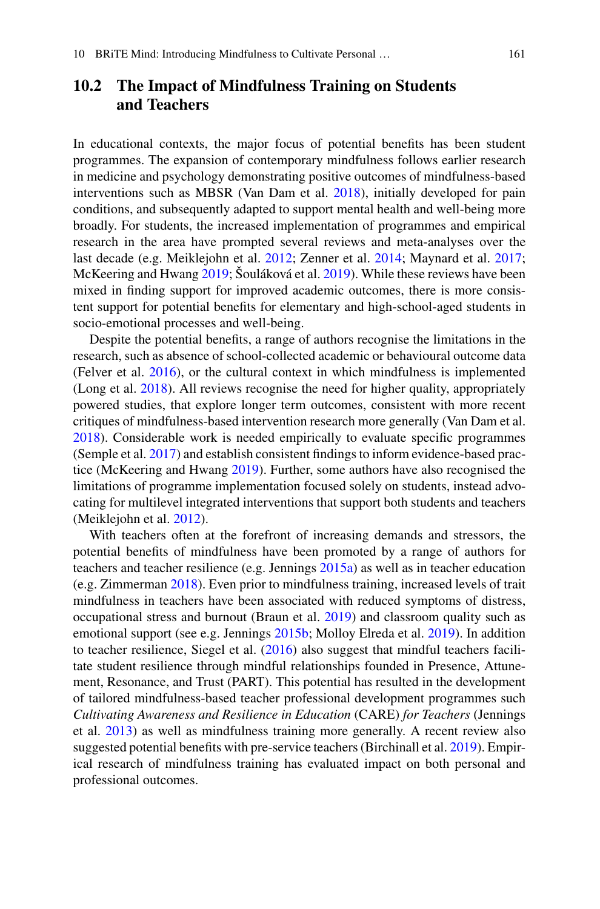# **10.2 The Impact of Mindfulness Training on Students and Teachers**

In educational contexts, the major focus of potential benefits has been student programmes. The expansion of contemporary mindfulness follows earlier research in medicine and psychology demonstrating positive outcomes of mindfulness-based interventions such as MBSR (Van Dam et al. [2018\)](#page-15-1), initially developed for pain conditions, and subsequently adapted to support mental health and well-being more broadly. For students, the increased implementation of programmes and empirical research in the area have prompted several reviews and meta-analyses over the last decade (e.g. Meiklejohn et al. [2012;](#page-14-4) Zenner et al. [2014;](#page-15-4) Maynard et al. [2017;](#page-14-5) McKeering and Hwang [2019;](#page-14-6) Šouláková et al. [2019\)](#page-15-5). While these reviews have been mixed in finding support for improved academic outcomes, there is more consistent support for potential benefits for elementary and high-school-aged students in socio-emotional processes and well-being.

Despite the potential benefits, a range of authors recognise the limitations in the research, such as absence of school-collected academic or behavioural outcome data (Felver et al.  $2016$ ), or the cultural context in which mindfulness is implemented (Long et al. [2018\)](#page-14-7). All reviews recognise the need for higher quality, appropriately powered studies, that explore longer term outcomes, consistent with more recent critiques of mindfulness-based intervention research more generally (Van Dam et al. [2018\)](#page-15-1). Considerable work is needed empirically to evaluate specific programmes (Semple et al. [2017\)](#page-15-0) and establish consistent findings to inform evidence-based practice (McKeering and Hwang [2019\)](#page-14-6). Further, some authors have also recognised the limitations of programme implementation focused solely on students, instead advocating for multilevel integrated interventions that support both students and teachers (Meiklejohn et al. [2012\)](#page-14-4).

With teachers often at the forefront of increasing demands and stressors, the potential benefits of mindfulness have been promoted by a range of authors for teachers and teacher resilience (e.g. Jennings [2015a\)](#page-13-3) as well as in teacher education (e.g. Zimmerman [2018\)](#page-15-6). Even prior to mindfulness training, increased levels of trait mindfulness in teachers have been associated with reduced symptoms of distress, occupational stress and burnout (Braun et al. [2019\)](#page-12-4) and classroom quality such as emotional support (see e.g. Jennings [2015b;](#page-13-4) Molloy Elreda et al. [2019\)](#page-14-8). In addition to teacher resilience, Siegel et al. [\(2016\)](#page-14-1) also suggest that mindful teachers facilitate student resilience through mindful relationships founded in Presence, Attunement, Resonance, and Trust (PART). This potential has resulted in the development of tailored mindfulness-based teacher professional development programmes such *Cultivating Awareness and Resilience in Education* (CARE) *for Teachers* (Jennings et al. [2013\)](#page-14-9) as well as mindfulness training more generally. A recent review also suggested potential benefits with pre-service teachers (Birchinall et al. [2019\)](#page-12-5). Empirical research of mindfulness training has evaluated impact on both personal and professional outcomes.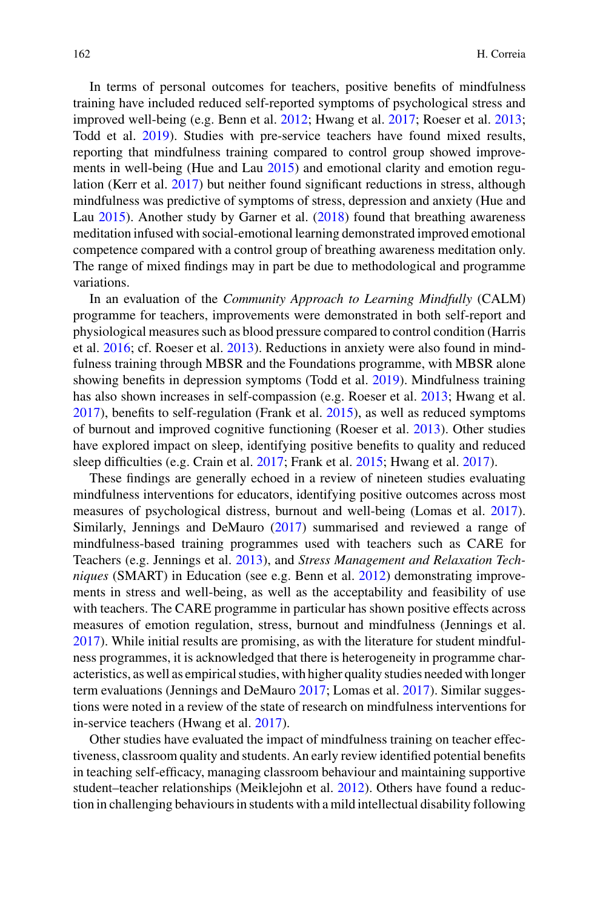In terms of personal outcomes for teachers, positive benefits of mindfulness training have included reduced self-reported symptoms of psychological stress and improved well-being (e.g. Benn et al. [2012;](#page-12-6) Hwang et al. [2017;](#page-13-5) Roeser et al. [2013;](#page-14-10) Todd et al. [2019\)](#page-15-7). Studies with pre-service teachers have found mixed results, reporting that mindfulness training compared to control group showed improvements in well-being (Hue and Lau [2015\)](#page-13-6) and emotional clarity and emotion regulation (Kerr et al. [2017\)](#page-14-11) but neither found significant reductions in stress, although mindfulness was predictive of symptoms of stress, depression and anxiety (Hue and Lau [2015\)](#page-13-6). Another study by Garner et al. [\(2018\)](#page-13-7) found that breathing awareness meditation infused with social-emotional learning demonstrated improved emotional competence compared with a control group of breathing awareness meditation only. The range of mixed findings may in part be due to methodological and programme variations.

In an evaluation of the *Community Approach to Learning Mindfully* (CALM) programme for teachers, improvements were demonstrated in both self-report and physiological measures such as blood pressure compared to control condition (Harris et al. [2016;](#page-13-8) cf. Roeser et al. [2013\)](#page-14-10). Reductions in anxiety were also found in mindfulness training through MBSR and the Foundations programme, with MBSR alone showing benefits in depression symptoms (Todd et al. [2019\)](#page-15-7). Mindfulness training has also shown increases in self-compassion (e.g. Roeser et al. [2013;](#page-14-10) Hwang et al. [2017\)](#page-13-5), benefits to self-regulation (Frank et al. [2015\)](#page-13-9), as well as reduced symptoms of burnout and improved cognitive functioning (Roeser et al. [2013\)](#page-14-10). Other studies have explored impact on sleep, identifying positive benefits to quality and reduced sleep difficulties (e.g. Crain et al. [2017;](#page-13-10) Frank et al. [2015;](#page-13-9) Hwang et al. [2017\)](#page-13-5).

These findings are generally echoed in a review of nineteen studies evaluating mindfulness interventions for educators, identifying positive outcomes across most measures of psychological distress, burnout and well-being (Lomas et al. [2017\)](#page-14-12). Similarly, Jennings and DeMauro [\(2017\)](#page-13-1) summarised and reviewed a range of mindfulness-based training programmes used with teachers such as CARE for Teachers (e.g. Jennings et al. [2013\)](#page-14-9), and *Stress Management and Relaxation Techniques* (SMART) in Education (see e.g. Benn et al. [2012\)](#page-12-6) demonstrating improvements in stress and well-being, as well as the acceptability and feasibility of use with teachers. The CARE programme in particular has shown positive effects across measures of emotion regulation, stress, burnout and mindfulness (Jennings et al. [2017\)](#page-13-11). While initial results are promising, as with the literature for student mindfulness programmes, it is acknowledged that there is heterogeneity in programme characteristics, as well as empirical studies, with higher quality studies needed with longer term evaluations (Jennings and DeMauro [2017;](#page-13-1) Lomas et al. [2017\)](#page-14-12). Similar suggestions were noted in a review of the state of research on mindfulness interventions for in-service teachers (Hwang et al. [2017\)](#page-13-5).

Other studies have evaluated the impact of mindfulness training on teacher effectiveness, classroom quality and students. An early review identified potential benefits in teaching self-efficacy, managing classroom behaviour and maintaining supportive student–teacher relationships (Meiklejohn et al. [2012\)](#page-14-4). Others have found a reduction in challenging behaviours in students with a mild intellectual disability following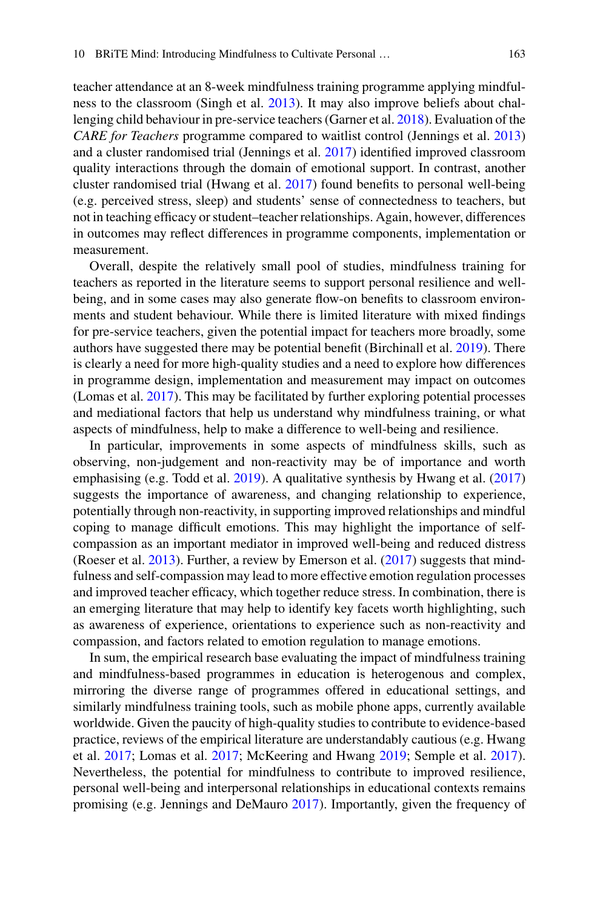teacher attendance at an 8-week mindfulness training programme applying mindfulness to the classroom (Singh et al. [2013\)](#page-15-8). It may also improve beliefs about challenging child behaviour in pre-service teachers (Garner et al. [2018\)](#page-13-7). Evaluation of the *CARE for Teachers* programme compared to waitlist control (Jennings et al. [2013\)](#page-14-9) and a cluster randomised trial (Jennings et al. [2017\)](#page-13-11) identified improved classroom quality interactions through the domain of emotional support. In contrast, another cluster randomised trial (Hwang et al. [2017\)](#page-13-5) found benefits to personal well-being (e.g. perceived stress, sleep) and students' sense of connectedness to teachers, but not in teaching efficacy or student–teacher relationships. Again, however, differences in outcomes may reflect differences in programme components, implementation or measurement.

Overall, despite the relatively small pool of studies, mindfulness training for teachers as reported in the literature seems to support personal resilience and wellbeing, and in some cases may also generate flow-on benefits to classroom environments and student behaviour. While there is limited literature with mixed findings for pre-service teachers, given the potential impact for teachers more broadly, some authors have suggested there may be potential benefit (Birchinall et al. [2019\)](#page-12-5). There is clearly a need for more high-quality studies and a need to explore how differences in programme design, implementation and measurement may impact on outcomes (Lomas et al. [2017\)](#page-14-12). This may be facilitated by further exploring potential processes and mediational factors that help us understand why mindfulness training, or what aspects of mindfulness, help to make a difference to well-being and resilience.

In particular, improvements in some aspects of mindfulness skills, such as observing, non-judgement and non-reactivity may be of importance and worth emphasising (e.g. Todd et al. [2019\)](#page-15-7). A qualitative synthesis by Hwang et al. [\(2017\)](#page-13-5) suggests the importance of awareness, and changing relationship to experience, potentially through non-reactivity, in supporting improved relationships and mindful coping to manage difficult emotions. This may highlight the importance of selfcompassion as an important mediator in improved well-being and reduced distress (Roeser et al. [2013\)](#page-14-10). Further, a review by Emerson et al. [\(2017\)](#page-13-12) suggests that mindfulness and self-compassion may lead to more effective emotion regulation processes and improved teacher efficacy, which together reduce stress. In combination, there is an emerging literature that may help to identify key facets worth highlighting, such as awareness of experience, orientations to experience such as non-reactivity and compassion, and factors related to emotion regulation to manage emotions.

In sum, the empirical research base evaluating the impact of mindfulness training and mindfulness-based programmes in education is heterogenous and complex, mirroring the diverse range of programmes offered in educational settings, and similarly mindfulness training tools, such as mobile phone apps, currently available worldwide. Given the paucity of high-quality studies to contribute to evidence-based practice, reviews of the empirical literature are understandably cautious (e.g. Hwang et al. [2017;](#page-13-5) Lomas et al. [2017;](#page-14-12) McKeering and Hwang [2019;](#page-14-6) Semple et al. [2017\)](#page-15-0). Nevertheless, the potential for mindfulness to contribute to improved resilience, personal well-being and interpersonal relationships in educational contexts remains promising (e.g. Jennings and DeMauro [2017\)](#page-13-1). Importantly, given the frequency of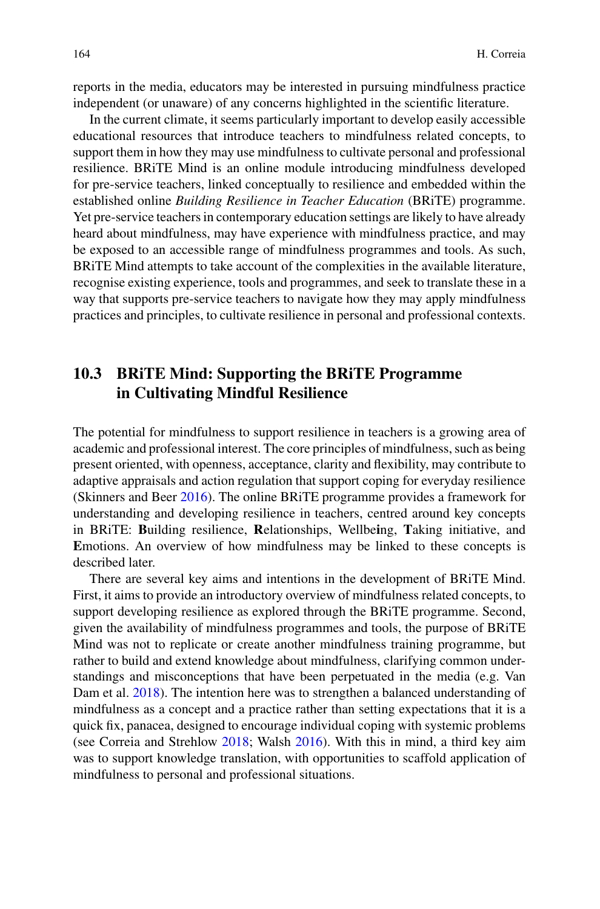reports in the media, educators may be interested in pursuing mindfulness practice independent (or unaware) of any concerns highlighted in the scientific literature.

In the current climate, it seems particularly important to develop easily accessible educational resources that introduce teachers to mindfulness related concepts, to support them in how they may use mindfulness to cultivate personal and professional resilience. BRiTE Mind is an online module introducing mindfulness developed for pre-service teachers, linked conceptually to resilience and embedded within the established online *Building Resilience in Teacher Education* (BRiTE) programme. Yet pre-service teachers in contemporary education settings are likely to have already heard about mindfulness, may have experience with mindfulness practice, and may be exposed to an accessible range of mindfulness programmes and tools. As such, BRiTE Mind attempts to take account of the complexities in the available literature, recognise existing experience, tools and programmes, and seek to translate these in a way that supports pre-service teachers to navigate how they may apply mindfulness practices and principles, to cultivate resilience in personal and professional contexts.

# **10.3 BRiTE Mind: Supporting the BRiTE Programme in Cultivating Mindful Resilience**

The potential for mindfulness to support resilience in teachers is a growing area of academic and professional interest. The core principles of mindfulness, such as being present oriented, with openness, acceptance, clarity and flexibility, may contribute to adaptive appraisals and action regulation that support coping for everyday resilience (Skinners and Beer [2016\)](#page-15-9). The online BRiTE programme provides a framework for understanding and developing resilience in teachers, centred around key concepts in BRiTE: **B**uilding resilience, **R**elationships, Wellbe**i**ng, **T**aking initiative, and **E**motions. An overview of how mindfulness may be linked to these concepts is described later.

There are several key aims and intentions in the development of BRiTE Mind. First, it aims to provide an introductory overview of mindfulness related concepts, to support developing resilience as explored through the BRiTE programme. Second, given the availability of mindfulness programmes and tools, the purpose of BRiTE Mind was not to replicate or create another mindfulness training programme, but rather to build and extend knowledge about mindfulness, clarifying common understandings and misconceptions that have been perpetuated in the media (e.g. Van Dam et al. [2018\)](#page-15-1). The intention here was to strengthen a balanced understanding of mindfulness as a concept and a practice rather than setting expectations that it is a quick fix, panacea, designed to encourage individual coping with systemic problems (see Correia and Strehlow [2018;](#page-13-13) Walsh [2016\)](#page-15-10). With this in mind, a third key aim was to support knowledge translation, with opportunities to scaffold application of mindfulness to personal and professional situations.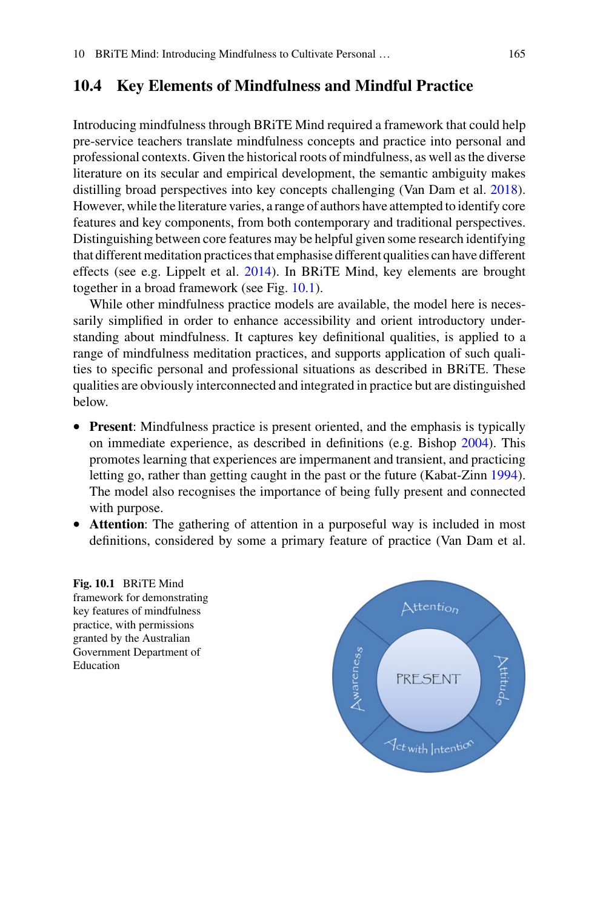#### **10.4 Key Elements of Mindfulness and Mindful Practice**

Introducing mindfulness through BRiTE Mind required a framework that could help pre-service teachers translate mindfulness concepts and practice into personal and professional contexts. Given the historical roots of mindfulness, as well as the diverse literature on its secular and empirical development, the semantic ambiguity makes distilling broad perspectives into key concepts challenging (Van Dam et al. [2018\)](#page-15-1). However, while the literature varies, a range of authors have attempted to identify core features and key components, from both contemporary and traditional perspectives. Distinguishing between core features may be helpful given some research identifying that different meditation practices that emphasise different qualities can have different effects (see e.g. Lippelt et al. [2014\)](#page-14-13). In BRiTE Mind, key elements are brought together in a broad framework (see Fig. [10.1\)](#page-6-0).

While other mindfulness practice models are available, the model here is necessarily simplified in order to enhance accessibility and orient introductory understanding about mindfulness. It captures key definitional qualities, is applied to a range of mindfulness meditation practices, and supports application of such qualities to specific personal and professional situations as described in BRiTE. These qualities are obviously interconnected and integrated in practice but are distinguished below.

- **Present**: Mindfulness practice is present oriented, and the emphasis is typically on immediate experience, as described in definitions (e.g. Bishop [2004\)](#page-12-7). This promotes learning that experiences are impermanent and transient, and practicing letting go, rather than getting caught in the past or the future (Kabat-Zinn [1994\)](#page-14-0). The model also recognises the importance of being fully present and connected with purpose.
- **Attention**: The gathering of attention in a purposeful way is included in most definitions, considered by some a primary feature of practice (Van Dam et al.

<span id="page-6-0"></span>

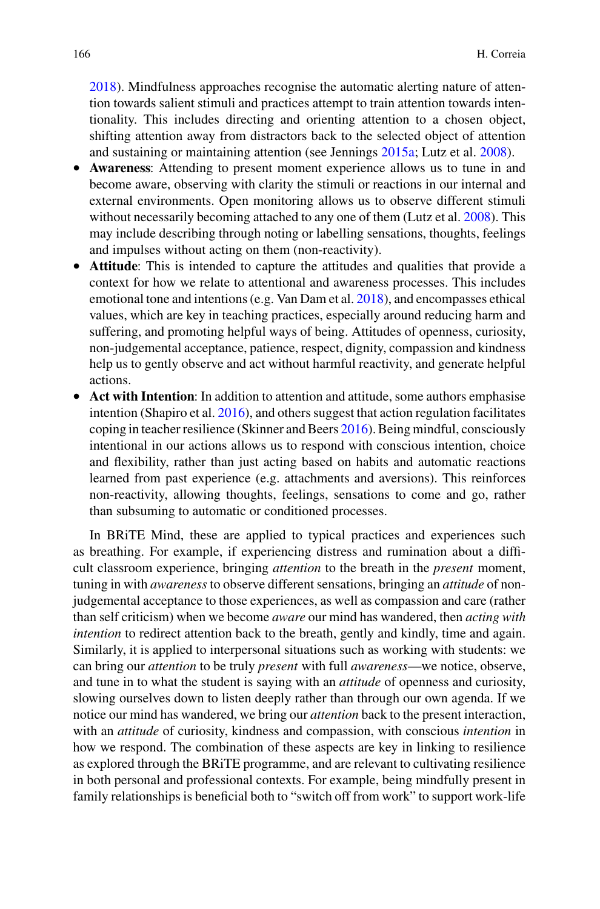[2018\)](#page-15-1). Mindfulness approaches recognise the automatic alerting nature of attention towards salient stimuli and practices attempt to train attention towards intentionality. This includes directing and orienting attention to a chosen object, shifting attention away from distractors back to the selected object of attention and sustaining or maintaining attention (see Jennings [2015a;](#page-13-3) Lutz et al. [2008\)](#page-14-2).

- **Awareness**: Attending to present moment experience allows us to tune in and become aware, observing with clarity the stimuli or reactions in our internal and external environments. Open monitoring allows us to observe different stimuli without necessarily becoming attached to any one of them (Lutz et al. [2008\)](#page-14-2). This may include describing through noting or labelling sensations, thoughts, feelings and impulses without acting on them (non-reactivity).
- **Attitude**: This is intended to capture the attitudes and qualities that provide a context for how we relate to attentional and awareness processes. This includes emotional tone and intentions (e.g. Van Dam et al. [2018\)](#page-15-1), and encompasses ethical values, which are key in teaching practices, especially around reducing harm and suffering, and promoting helpful ways of being. Attitudes of openness, curiosity, non-judgemental acceptance, patience, respect, dignity, compassion and kindness help us to gently observe and act without harmful reactivity, and generate helpful actions.
- **Act with Intention**: In addition to attention and attitude, some authors emphasise intention (Shapiro et al. [2016\)](#page-15-3), and others suggest that action regulation facilitates coping in teacher resilience (Skinner and Beers [2016\)](#page-15-9). Being mindful, consciously intentional in our actions allows us to respond with conscious intention, choice and flexibility, rather than just acting based on habits and automatic reactions learned from past experience (e.g. attachments and aversions). This reinforces non-reactivity, allowing thoughts, feelings, sensations to come and go, rather than subsuming to automatic or conditioned processes.

In BRiTE Mind, these are applied to typical practices and experiences such as breathing. For example, if experiencing distress and rumination about a difficult classroom experience, bringing *attention* to the breath in the *present* moment, tuning in with *awareness* to observe different sensations, bringing an *attitude* of nonjudgemental acceptance to those experiences, as well as compassion and care (rather than self criticism) when we become *aware* our mind has wandered, then *acting with intention* to redirect attention back to the breath, gently and kindly, time and again. Similarly, it is applied to interpersonal situations such as working with students: we can bring our *attention* to be truly *present* with full *awareness*—we notice, observe, and tune in to what the student is saying with an *attitude* of openness and curiosity, slowing ourselves down to listen deeply rather than through our own agenda. If we notice our mind has wandered, we bring our *attention* back to the present interaction, with an *attitude* of curiosity, kindness and compassion, with conscious *intention* in how we respond. The combination of these aspects are key in linking to resilience as explored through the BRiTE programme, and are relevant to cultivating resilience in both personal and professional contexts. For example, being mindfully present in family relationships is beneficial both to "switch off from work" to support work-life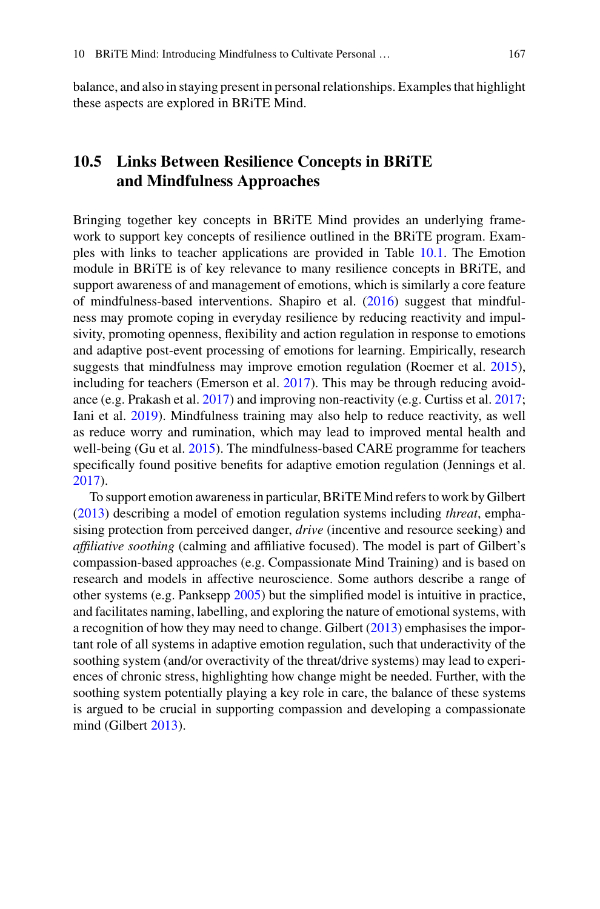balance, and also in staying present in personal relationships. Examples that highlight these aspects are explored in BRiTE Mind.

## **10.5 Links Between Resilience Concepts in BRiTE and Mindfulness Approaches**

Bringing together key concepts in BRiTE Mind provides an underlying framework to support key concepts of resilience outlined in the BRiTE program. Examples with links to teacher applications are provided in Table [10.1.](#page-9-0) The Emotion module in BRiTE is of key relevance to many resilience concepts in BRiTE, and support awareness of and management of emotions, which is similarly a core feature of mindfulness-based interventions. Shapiro et al. [\(2016\)](#page-15-3) suggest that mindfulness may promote coping in everyday resilience by reducing reactivity and impulsivity, promoting openness, flexibility and action regulation in response to emotions and adaptive post-event processing of emotions for learning. Empirically, research suggests that mindfulness may improve emotion regulation (Roemer et al. [2015\)](#page-14-14), including for teachers (Emerson et al. [2017\)](#page-13-12). This may be through reducing avoidance (e.g. Prakash et al. [2017\)](#page-14-15) and improving non-reactivity (e.g. Curtiss et al. [2017;](#page-13-14) Iani et al. [2019\)](#page-13-15). Mindfulness training may also help to reduce reactivity, as well as reduce worry and rumination, which may lead to improved mental health and well-being (Gu et al. [2015\)](#page-13-16). The mindfulness-based CARE programme for teachers specifically found positive benefits for adaptive emotion regulation (Jennings et al. [2017\)](#page-13-11).

To support emotion awareness in particular, BRiTE Mind refers to work by Gilbert [\(2013\)](#page-13-17) describing a model of emotion regulation systems including *threat*, emphasising protection from perceived danger, *drive* (incentive and resource seeking) and *affiliative soothing* (calming and affiliative focused). The model is part of Gilbert's compassion-based approaches (e.g. Compassionate Mind Training) and is based on research and models in affective neuroscience. Some authors describe a range of other systems (e.g. Panksepp [2005\)](#page-14-16) but the simplified model is intuitive in practice, and facilitates naming, labelling, and exploring the nature of emotional systems, with a recognition of how they may need to change. Gilbert [\(2013\)](#page-13-17) emphasises the important role of all systems in adaptive emotion regulation, such that underactivity of the soothing system (and/or overactivity of the threat/drive systems) may lead to experiences of chronic stress, highlighting how change might be needed. Further, with the soothing system potentially playing a key role in care, the balance of these systems is argued to be crucial in supporting compassion and developing a compassionate mind (Gilbert [2013\)](#page-13-17).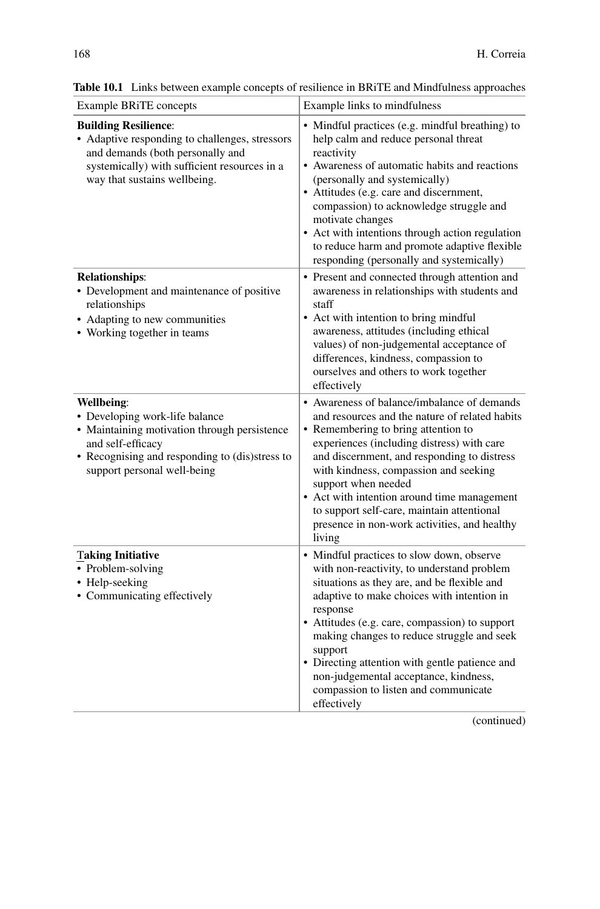| <b>Example BRiTE concepts</b>                                                                                                                                                                      | Example links to mindfulness                                                                                                                                                                                                                                                                                                                                                                                                                                  |
|----------------------------------------------------------------------------------------------------------------------------------------------------------------------------------------------------|---------------------------------------------------------------------------------------------------------------------------------------------------------------------------------------------------------------------------------------------------------------------------------------------------------------------------------------------------------------------------------------------------------------------------------------------------------------|
| <b>Building Resilience:</b><br>• Adaptive responding to challenges, stressors<br>and demands (both personally and<br>systemically) with sufficient resources in a<br>way that sustains wellbeing.  | • Mindful practices (e.g. mindful breathing) to<br>help calm and reduce personal threat<br>reactivity<br>• Awareness of automatic habits and reactions<br>(personally and systemically)<br>• Attitudes (e.g. care and discernment,<br>compassion) to acknowledge struggle and<br>motivate changes<br>• Act with intentions through action regulation<br>to reduce harm and promote adaptive flexible<br>responding (personally and systemically)              |
| <b>Relationships:</b><br>• Development and maintenance of positive<br>relationships<br>• Adapting to new communities<br>• Working together in teams                                                | • Present and connected through attention and<br>awareness in relationships with students and<br>staff<br>• Act with intention to bring mindful<br>awareness, attitudes (including ethical<br>values) of non-judgemental acceptance of<br>differences, kindness, compassion to<br>ourselves and others to work together<br>effectively                                                                                                                        |
| Wellbeing:<br>• Developing work-life balance<br>• Maintaining motivation through persistence<br>and self-efficacy<br>• Recognising and responding to (dis)stress to<br>support personal well-being | • Awareness of balance/imbalance of demands<br>and resources and the nature of related habits<br>• Remembering to bring attention to<br>experiences (including distress) with care<br>and discernment, and responding to distress<br>with kindness, compassion and seeking<br>support when needed<br>• Act with intention around time management                                                                                                              |
|                                                                                                                                                                                                    | to support self-care, maintain attentional<br>presence in non-work activities, and healthy<br>living                                                                                                                                                                                                                                                                                                                                                          |
| <b>Taking Initiative</b><br>• Problem-solving<br>• Help-seeking<br>• Communicating effectively                                                                                                     | • Mindful practices to slow down, observe<br>with non-reactivity, to understand problem<br>situations as they are, and be flexible and<br>adaptive to make choices with intention in<br>response<br>• Attitudes (e.g. care, compassion) to support<br>making changes to reduce struggle and seek<br>support<br>• Directing attention with gentle patience and<br>non-judgemental acceptance, kindness,<br>compassion to listen and communicate<br>effectively |

<span id="page-9-0"></span>**Table 10.1** Links between example concepts of resilience in BRiTE and Mindfulness approaches

(continued)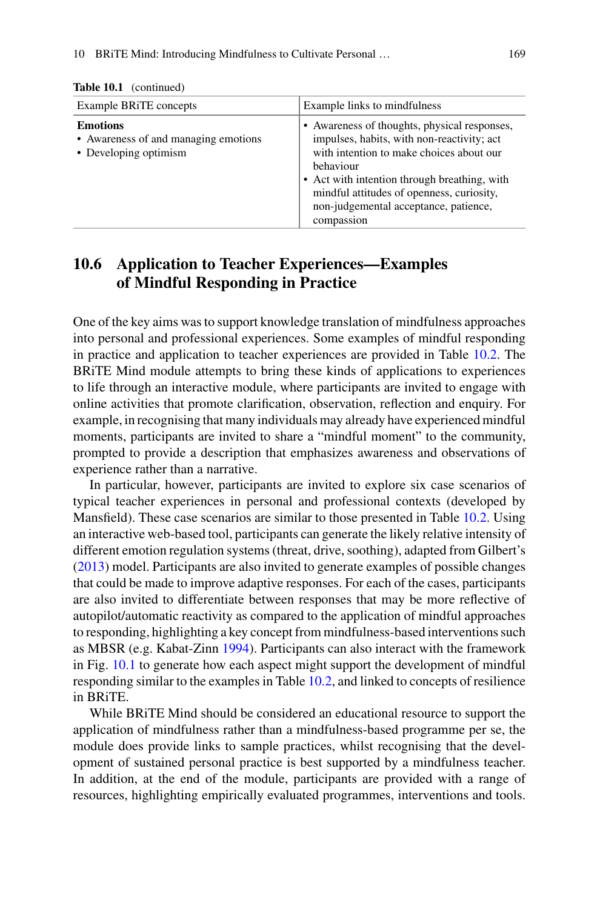| Example BRITE concepts                                                           | Example links to mindfulness                                                                                                                                                                                                                                                                            |
|----------------------------------------------------------------------------------|---------------------------------------------------------------------------------------------------------------------------------------------------------------------------------------------------------------------------------------------------------------------------------------------------------|
| <b>Emotions</b><br>• Awareness of and managing emotions<br>• Developing optimism | • Awareness of thoughts, physical responses,<br>impulses, habits, with non-reactivity; act<br>with intention to make choices about our<br>hehaviour<br>• Act with intention through breathing, with<br>mindful attitudes of openness, curiosity,<br>non-judgemental acceptance, patience,<br>compassion |

**Table 10.1** (continued)

# **10.6 Application to Teacher Experiences—Examples of Mindful Responding in Practice**

One of the key aims was to support knowledge translation of mindfulness approaches into personal and professional experiences. Some examples of mindful responding in practice and application to teacher experiences are provided in Table [10.2.](#page-11-0) The BRiTE Mind module attempts to bring these kinds of applications to experiences to life through an interactive module, where participants are invited to engage with online activities that promote clarification, observation, reflection and enquiry. For example, in recognising that many individuals may already have experienced mindful moments, participants are invited to share a "mindful moment" to the community, prompted to provide a description that emphasizes awareness and observations of experience rather than a narrative.

In particular, however, participants are invited to explore six case scenarios of typical teacher experiences in personal and professional contexts (developed by Mansfield). These case scenarios are similar to those presented in Table [10.2.](#page-11-0) Using an interactive web-based tool, participants can generate the likely relative intensity of different emotion regulation systems (threat, drive, soothing), adapted from Gilbert's [\(2013\)](#page-13-17) model. Participants are also invited to generate examples of possible changes that could be made to improve adaptive responses. For each of the cases, participants are also invited to differentiate between responses that may be more reflective of autopilot/automatic reactivity as compared to the application of mindful approaches to responding, highlighting a key concept from mindfulness-based interventions such as MBSR (e.g. Kabat-Zinn [1994\)](#page-14-0). Participants can also interact with the framework in Fig. [10.1](#page-6-0) to generate how each aspect might support the development of mindful responding similar to the examples in Table [10.2,](#page-11-0) and linked to concepts of resilience in BRiTE.

While BRiTE Mind should be considered an educational resource to support the application of mindfulness rather than a mindfulness-based programme per se, the module does provide links to sample practices, whilst recognising that the development of sustained personal practice is best supported by a mindfulness teacher. In addition, at the end of the module, participants are provided with a range of resources, highlighting empirically evaluated programmes, interventions and tools.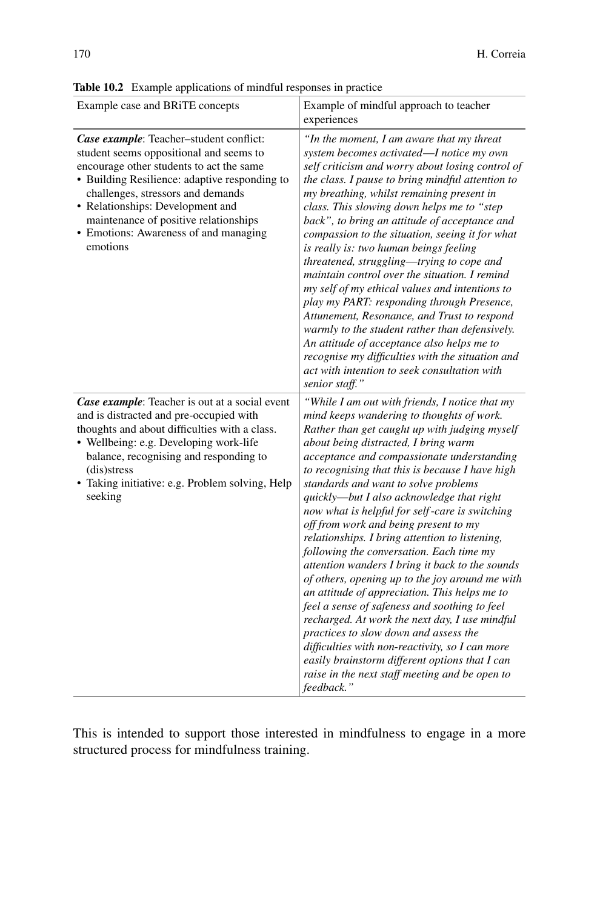| Example case and BRiTE concepts                                                                                                                                                                                                                                                                                                                        | Example of mindful approach to teacher<br>experiences                                                                                                                                                                                                                                                                                                                                                                                                                                                                                                                                                                                                                                                                                                                                                                                                                                                                                                                                                                                       |
|--------------------------------------------------------------------------------------------------------------------------------------------------------------------------------------------------------------------------------------------------------------------------------------------------------------------------------------------------------|---------------------------------------------------------------------------------------------------------------------------------------------------------------------------------------------------------------------------------------------------------------------------------------------------------------------------------------------------------------------------------------------------------------------------------------------------------------------------------------------------------------------------------------------------------------------------------------------------------------------------------------------------------------------------------------------------------------------------------------------------------------------------------------------------------------------------------------------------------------------------------------------------------------------------------------------------------------------------------------------------------------------------------------------|
| Case example: Teacher-student conflict:<br>student seems oppositional and seems to<br>encourage other students to act the same<br>• Building Resilience: adaptive responding to<br>challenges, stressors and demands<br>• Relationships: Development and<br>maintenance of positive relationships<br>• Emotions: Awareness of and managing<br>emotions | "In the moment, I am aware that my threat<br>system becomes activated-I notice my own<br>self criticism and worry about losing control of<br>the class. I pause to bring mindful attention to<br>my breathing, whilst remaining present in<br>class. This slowing down helps me to "step<br>back", to bring an attitude of acceptance and<br>compassion to the situation, seeing it for what<br>is really is: two human beings feeling<br>threatened, struggling—trying to cope and<br>maintain control over the situation. I remind<br>my self of my ethical values and intentions to<br>play my PART: responding through Presence,<br>Attunement, Resonance, and Trust to respond<br>warmly to the student rather than defensively.<br>An attitude of acceptance also helps me to<br>recognise my difficulties with the situation and<br>act with intention to seek consultation with<br>senior staff."                                                                                                                                   |
| Case example: Teacher is out at a social event<br>and is distracted and pre-occupied with<br>thoughts and about difficulties with a class.<br>• Wellbeing: e.g. Developing work-life<br>balance, recognising and responding to<br>(dis)stress<br>· Taking initiative: e.g. Problem solving, Help<br>seeking                                            | "While I am out with friends, I notice that my<br>mind keeps wandering to thoughts of work.<br>Rather than get caught up with judging myself<br>about being distracted, I bring warm<br>acceptance and compassionate understanding<br>to recognising that this is because I have high<br>standards and want to solve problems<br>quickly-but I also acknowledge that right<br>now what is helpful for self-care is switching<br>off from work and being present to my<br>relationships. I bring attention to listening,<br>following the conversation. Each time my<br>attention wanders I bring it back to the sounds<br>of others, opening up to the joy around me with<br>an attitude of appreciation. This helps me to<br>feel a sense of safeness and soothing to feel<br>recharged. At work the next day, I use mindful<br>practices to slow down and assess the<br>difficulties with non-reactivity, so I can more<br>easily brainstorm different options that I can<br>raise in the next staff meeting and be open to<br>feedback." |

<span id="page-11-0"></span>**Table 10.2** Example applications of mindful responses in practice

This is intended to support those interested in mindfulness to engage in a more structured process for mindfulness training.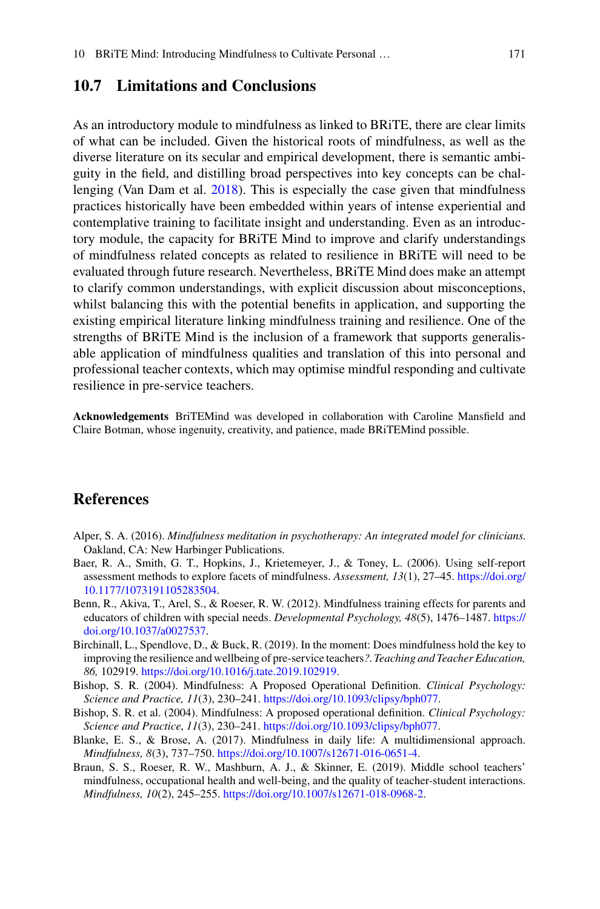## **10.7 Limitations and Conclusions**

As an introductory module to mindfulness as linked to BRiTE, there are clear limits of what can be included. Given the historical roots of mindfulness, as well as the diverse literature on its secular and empirical development, there is semantic ambiguity in the field, and distilling broad perspectives into key concepts can be challenging (Van Dam et al. [2018\)](#page-15-1). This is especially the case given that mindfulness practices historically have been embedded within years of intense experiential and contemplative training to facilitate insight and understanding. Even as an introductory module, the capacity for BRiTE Mind to improve and clarify understandings of mindfulness related concepts as related to resilience in BRiTE will need to be evaluated through future research. Nevertheless, BRiTE Mind does make an attempt to clarify common understandings, with explicit discussion about misconceptions, whilst balancing this with the potential benefits in application, and supporting the existing empirical literature linking mindfulness training and resilience. One of the strengths of BRiTE Mind is the inclusion of a framework that supports generalisable application of mindfulness qualities and translation of this into personal and professional teacher contexts, which may optimise mindful responding and cultivate resilience in pre-service teachers.

**Acknowledgements** BriTEMind was developed in collaboration with Caroline Mansfield and Claire Botman, whose ingenuity, creativity, and patience, made BRiTEMind possible.

### **References**

- <span id="page-12-3"></span>Alper, S. A. (2016). *Mindfulness meditation in psychotherapy: An integrated model for clinicians*. Oakland, CA: New Harbinger Publications.
- <span id="page-12-1"></span>Baer, R. A., Smith, G. T., Hopkins, J., Krietemeyer, J., & Toney, L. (2006). Using self-report [assessment methods to explore facets of mindfulness.](https://doi.org/10.1177/1073191105283504) *Assessment, 13*(1), 27–45. https://doi.org/ 10.1177/1073191105283504.
- <span id="page-12-6"></span>Benn, R., Akiva, T., Arel, S., & Roeser, R. W. (2012). Mindfulness training effects for parents and [educators of children with special needs.](https://doi.org/10.1037/a0027537) *Developmental Psychology, 48*(5), 1476–1487. https:// doi.org/10.1037/a0027537.
- <span id="page-12-5"></span>Birchinall, L., Spendlove, D., & Buck, R. (2019). In the moment: Does mindfulness hold the key to improving the resilience and wellbeing of pre-service teachers*?*. *Teaching and Teacher Education, 86,* 102919. [https://doi.org/10.1016/j.tate.2019.102919.](https://doi.org/10.1016/j.tate.2019.102919)
- <span id="page-12-7"></span>Bishop, S. R. (2004). Mindfulness: A Proposed Operational Definition. *Clinical Psychology: Science and Practice, 11*(3), 230–241. [https://doi.org/10.1093/clipsy/bph077.](https://doi.org/10.1093/clipsy/bph077)
- <span id="page-12-0"></span>Bishop, S. R. et al. (2004). Mindfulness: A proposed operational definition. *Clinical Psychology: Science and Practice*, *11*(3), 230–241. [https://doi.org/10.1093/clipsy/bph077.](https://doi.org/10.1093/clipsy/bph077)
- <span id="page-12-2"></span>Blanke, E. S., & Brose, A. (2017). Mindfulness in daily life: A multidimensional approach. *Mindfulness, 8*(3), 737–750. [https://doi.org/10.1007/s12671-016-0651-4.](https://doi.org/10.1007/s12671-016-0651-4)
- <span id="page-12-4"></span>Braun, S. S., Roeser, R. W., Mashburn, A. J., & Skinner, E. (2019). Middle school teachers' mindfulness, occupational health and well-being, and the quality of teacher-student interactions. *Mindfulness, 10*(2), 245–255. [https://doi.org/10.1007/s12671-018-0968-2.](https://doi.org/10.1007/s12671-018-0968-2)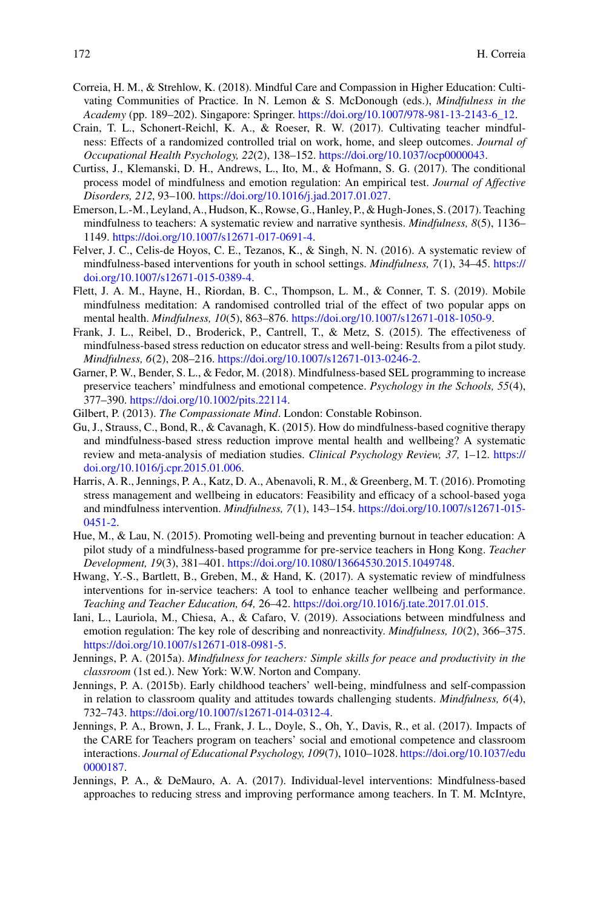- <span id="page-13-13"></span>Correia, H. M., & Strehlow, K. (2018). Mindful Care and Compassion in Higher Education: Cultivating Communities of Practice. In N. Lemon & S. McDonough (eds.), *Mindfulness in the Academy* (pp. 189–202). Singapore: Springer. [https://doi.org/10.1007/978-981-13-2143-6\\_12.](https://doi.org/10.1007/978-981-13-2143-6_12)
- <span id="page-13-10"></span>Crain, T. L., Schonert-Reichl, K. A., & Roeser, R. W. (2017). Cultivating teacher mindfulness: Effects of a randomized controlled trial on work, home, and sleep outcomes. *Journal of Occupational Health Psychology, 22*(2), 138–152. [https://doi.org/10.1037/ocp0000043.](https://doi.org/10.1037/ocp0000043)
- <span id="page-13-14"></span>Curtiss, J., Klemanski, D. H., Andrews, L., Ito, M., & Hofmann, S. G. (2017). The conditional process model of mindfulness and emotion regulation: An empirical test. *Journal of Affective Disorders, 212*, 93–100. [https://doi.org/10.1016/j.jad.2017.01.027.](https://doi.org/10.1016/j.jad.2017.01.027)
- <span id="page-13-12"></span>Emerson, L.-M., Leyland, A., Hudson, K., Rowse, G., Hanley, P., & Hugh-Jones, S. (2017). Teaching mindfulness to teachers: A systematic review and narrative synthesis. *Mindfulness, 8*(5), 1136– 1149. [https://doi.org/10.1007/s12671-017-0691-4.](https://doi.org/10.1007/s12671-017-0691-4)
- <span id="page-13-2"></span>Felver, J. C., Celis-de Hoyos, C. E., Tezanos, K., & Singh, N. N. (2016). A systematic review of [mindfulness-based interventions for youth in school settings.](https://doi.org/10.1007/s12671-015-0389-4) *Mindfulness, 7*(1), 34–45. https:// doi.org/10.1007/s12671-015-0389-4.
- <span id="page-13-0"></span>Flett, J. A. M., Hayne, H., Riordan, B. C., Thompson, L. M., & Conner, T. S. (2019). Mobile mindfulness meditation: A randomised controlled trial of the effect of two popular apps on mental health. *Mindfulness, 10*(5), 863–876. [https://doi.org/10.1007/s12671-018-1050-9.](https://doi.org/10.1007/s12671-018-1050-9)
- <span id="page-13-9"></span>Frank, J. L., Reibel, D., Broderick, P., Cantrell, T., & Metz, S. (2015). The effectiveness of mindfulness-based stress reduction on educator stress and well-being: Results from a pilot study. *Mindfulness, 6*(2), 208–216. [https://doi.org/10.1007/s12671-013-0246-2.](https://doi.org/10.1007/s12671-013-0246-2)
- <span id="page-13-7"></span>Garner, P. W., Bender, S. L., & Fedor, M. (2018). Mindfulness-based SEL programming to increase preservice teachers' mindfulness and emotional competence. *Psychology in the Schools, 55*(4), 377–390. [https://doi.org/10.1002/pits.22114.](https://doi.org/10.1002/pits.22114)
- <span id="page-13-17"></span>Gilbert, P. (2013). *The Compassionate Mind*. London: Constable Robinson.
- <span id="page-13-16"></span>Gu, J., Strauss, C., Bond, R., & Cavanagh, K. (2015). How do mindfulness-based cognitive therapy and mindfulness-based stress reduction improve mental health and wellbeing? A systematic [review and meta-analysis of mediation studies.](https://doi.org/10.1016/j.cpr.2015.01.006) *Clinical Psychology Review, 37,* 1–12. https:// doi.org/10.1016/j.cpr.2015.01.006.
- <span id="page-13-8"></span>Harris, A. R., Jennings, P. A., Katz, D. A., Abenavoli, R. M., & Greenberg, M. T. (2016). Promoting stress management and wellbeing in educators: Feasibility and efficacy of a school-based yoga and mindfulness intervention. *Mindfulness, 7*(1), 143–154. [https://doi.org/10.1007/s12671-015-](https://doi.org/10.1007/s12671-015-0451-2) 0451-2.
- <span id="page-13-6"></span>Hue, M., & Lau, N. (2015). Promoting well-being and preventing burnout in teacher education: A pilot study of a mindfulness-based programme for pre-service teachers in Hong Kong. *Teacher Development, 19*(3), 381–401. [https://doi.org/10.1080/13664530.2015.1049748.](https://doi.org/10.1080/13664530.2015.1049748)
- <span id="page-13-5"></span>Hwang, Y.-S., Bartlett, B., Greben, M., & Hand, K. (2017). A systematic review of mindfulness interventions for in-service teachers: A tool to enhance teacher wellbeing and performance. *Teaching and Teacher Education, 64,* 26–42. [https://doi.org/10.1016/j.tate.2017.01.015.](https://doi.org/10.1016/j.tate.2017.01.015)
- <span id="page-13-15"></span>Iani, L., Lauriola, M., Chiesa, A., & Cafaro, V. (2019). Associations between mindfulness and emotion regulation: The key role of describing and nonreactivity. *Mindfulness, 10*(2), 366–375. [https://doi.org/10.1007/s12671-018-0981-5.](https://doi.org/10.1007/s12671-018-0981-5)
- <span id="page-13-3"></span>Jennings, P. A. (2015a). *Mindfulness for teachers: Simple skills for peace and productivity in the classroom* (1st ed.). New York: W.W. Norton and Company.
- <span id="page-13-4"></span>Jennings, P. A. (2015b). Early childhood teachers' well-being, mindfulness and self-compassion in relation to classroom quality and attitudes towards challenging students. *Mindfulness, 6*(4), 732–743. [https://doi.org/10.1007/s12671-014-0312-4.](https://doi.org/10.1007/s12671-014-0312-4)
- <span id="page-13-11"></span>Jennings, P. A., Brown, J. L., Frank, J. L., Doyle, S., Oh, Y., Davis, R., et al. (2017). Impacts of the CARE for Teachers program on teachers' social and emotional competence and classroom interactions. *[Journal of Educational Psychology, 109](https://doi.org/10.1037/edu0000187)*(7), 1010–1028. https://doi.org/10.1037/edu 0000187.
- <span id="page-13-1"></span>Jennings, P. A., & DeMauro, A. A. (2017). Individual-level interventions: Mindfulness-based approaches to reducing stress and improving performance among teachers. In T. M. McIntyre,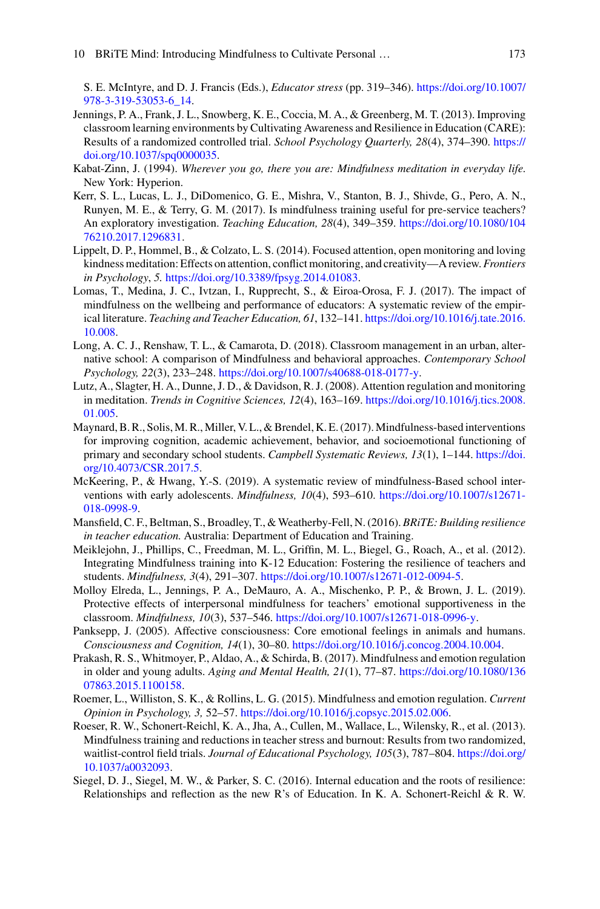[S. E. McIntyre, and D. J. Francis \(Eds.\),](https://doi.org/10.1007/978-3-319-53053-6_14) *Educator stress* (pp. 319–346). https://doi.org/10.1007/ 978-3-319-53053-6\_14.

- <span id="page-14-9"></span>Jennings, P. A., Frank, J. L., Snowberg, K. E., Coccia, M. A., & Greenberg, M. T. (2013). Improving classroom learning environments by Cultivating Awareness and Resilience in Education (CARE): [Results of a randomized controlled trial.](https://doi.org/10.1037/spq0000035) *School Psychology Quarterly, 28*(4), 374–390. https:// doi.org/10.1037/spq0000035.
- <span id="page-14-0"></span>Kabat-Zinn, J. (1994). *Wherever you go, there you are: Mindfulness meditation in everyday life*. New York: Hyperion.
- <span id="page-14-11"></span>Kerr, S. L., Lucas, L. J., DiDomenico, G. E., Mishra, V., Stanton, B. J., Shivde, G., Pero, A. N., Runyen, M. E., & Terry, G. M. (2017). Is mindfulness training useful for pre-service teachers? [An exploratory investigation.](https://doi.org/10.1080/10476210.2017.1296831) *Teaching Education, 28*(4), 349–359. https://doi.org/10.1080/104 76210.2017.1296831.
- <span id="page-14-13"></span>Lippelt, D. P., Hommel, B., & Colzato, L. S. (2014). Focused attention, open monitoring and loving kindness meditation: Effects on attention, conflict monitoring, and creativity—A review.*Frontiers in Psychology*, *5.* [https://doi.org/10.3389/fpsyg.2014.01083.](https://doi.org/10.3389/fpsyg.2014.01083)
- <span id="page-14-12"></span>Lomas, T., Medina, J. C., Ivtzan, I., Rupprecht, S., & Eiroa-Orosa, F. J. (2017). The impact of mindfulness on the wellbeing and performance of educators: A systematic review of the empirical literature. *[Teaching and Teacher Education, 61](https://doi.org/10.1016/j.tate.2016.10.008)*, 132–141. https://doi.org/10.1016/j.tate.2016. 10.008.
- <span id="page-14-7"></span>Long, A. C. J., Renshaw, T. L., & Camarota, D. (2018). Classroom management in an urban, alternative school: A comparison of Mindfulness and behavioral approaches. *Contemporary School Psychology, 22*(3), 233–248. [https://doi.org/10.1007/s40688-018-0177-y.](https://doi.org/10.1007/s40688-018-0177-y)
- <span id="page-14-2"></span>Lutz, A., Slagter, H. A., Dunne, J. D., & Davidson, R. J. (2008). Attention regulation and monitoring in meditation. *Trends in Cognitive Sciences, 12*(4), 163–169. [https://doi.org/10.1016/j.tics.2008.](https://doi.org/10.1016/j.tics.2008.01.005) 01.005.
- <span id="page-14-5"></span>Maynard, B. R., Solis, M. R., Miller, V. L., & Brendel, K. E. (2017). Mindfulness-based interventions for improving cognition, academic achievement, behavior, and socioemotional functioning of [primary and secondary school students.](https://doi.org/10.4073/CSR.2017.5) *Campbell Systematic Reviews, 13*(1), 1–144. https://doi. org/10.4073/CSR.2017.5.
- <span id="page-14-6"></span>McKeering, P., & Hwang, Y.-S. (2019). A systematic review of mindfulness-Based school inter[ventions with early adolescents.](https://doi.org/10.1007/s12671-018-0998-9) *Mindfulness, 10*(4), 593–610. https://doi.org/10.1007/s12671- 018-0998-9.
- <span id="page-14-3"></span>Mansfield, C. F., Beltman, S., Broadley, T., & Weatherby-Fell, N. (2016). *BRiTE: Building resilience in teacher education*. Australia: Department of Education and Training.
- <span id="page-14-4"></span>Meiklejohn, J., Phillips, C., Freedman, M. L., Griffin, M. L., Biegel, G., Roach, A., et al. (2012). Integrating Mindfulness training into K-12 Education: Fostering the resilience of teachers and students. *Mindfulness, 3*(4), 291–307. [https://doi.org/10.1007/s12671-012-0094-5.](https://doi.org/10.1007/s12671-012-0094-5)
- <span id="page-14-8"></span>Molloy Elreda, L., Jennings, P. A., DeMauro, A. A., Mischenko, P. P., & Brown, J. L. (2019). Protective effects of interpersonal mindfulness for teachers' emotional supportiveness in the classroom. *Mindfulness, 10*(3), 537–546. [https://doi.org/10.1007/s12671-018-0996-y.](https://doi.org/10.1007/s12671-018-0996-y)
- <span id="page-14-16"></span>Panksepp, J. (2005). Affective consciousness: Core emotional feelings in animals and humans. *Consciousness and Cognition, 14*(1), 30–80. [https://doi.org/10.1016/j.concog.2004.10.004.](https://doi.org/10.1016/j.concog.2004.10.004)
- <span id="page-14-15"></span>Prakash, R. S., Whitmoyer, P., Aldao, A., & Schirda, B. (2017). Mindfulness and emotion regulation in older and young adults. *[Aging and Mental Health, 21](https://doi.org/10.1080/13607863.2015.1100158)*(1), 77–87. https://doi.org/10.1080/136 07863.2015.1100158.
- <span id="page-14-14"></span>Roemer, L., Williston, S. K., & Rollins, L. G. (2015). Mindfulness and emotion regulation. *Current Opinion in Psychology, 3,* 52–57. [https://doi.org/10.1016/j.copsyc.2015.02.006.](https://doi.org/10.1016/j.copsyc.2015.02.006)
- <span id="page-14-10"></span>Roeser, R. W., Schonert-Reichl, K. A., Jha, A., Cullen, M., Wallace, L., Wilensky, R., et al. (2013). Mindfulness training and reductions in teacher stress and burnout: Results from two randomized, waitlist-control field trials. *[Journal of Educational Psychology, 105](https://doi.org/10.1037/a0032093)*(3), 787–804. https://doi.org/ 10.1037/a0032093.
- <span id="page-14-1"></span>Siegel, D. J., Siegel, M. W., & Parker, S. C. (2016). Internal education and the roots of resilience: Relationships and reflection as the new R's of Education. In K. A. Schonert-Reichl & R. W.